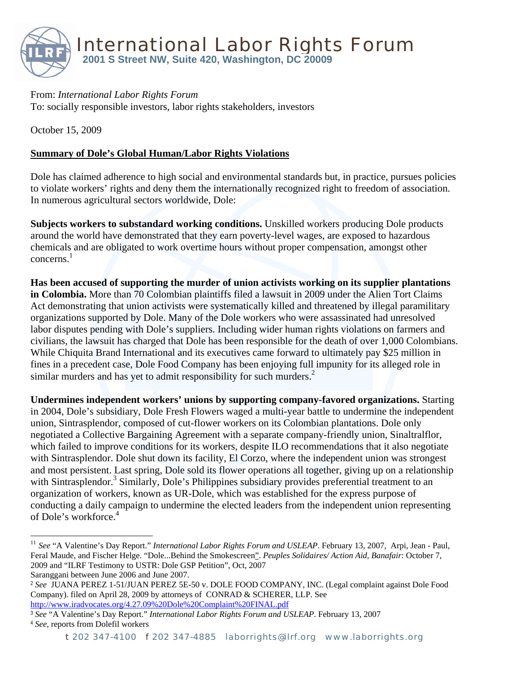

From: *International Labor Rights Forum*  To: socially responsible investors, labor rights stakeholders, investors

October 15, 2009

## **Summary of Dole's Global Human/Labor Rights Violations**

Dole has claimed adherence to high social and environmental standards but, in practice, pursues policies to violate workers' rights and deny them the internationally recognized right to freedom of association. In numerous agricultural sectors worldwide, Dole:

**Subjects workers to substandard working conditions.** Unskilled workers producing Dole products around the world have demonstrated that they earn poverty-level wages, are exposed to hazardous chemicals and are obligated to work overtime hours without proper compensation, amongst other  $concerns<sup>1</sup>$ 

**Has been accused of supporting the murder of union activists working on its supplier plantations in Colombia.** More than 70 Colombian plaintiffs filed a lawsuit in 2009 under the Alien Tort Claims Act demonstrating that union activists were systematically killed and threatened by illegal paramilitary organizations supported by Dole. Many of the Dole workers who were assassinated had unresolved labor disputes pending with Dole's suppliers. Including wider human rights violations on farmers and civilians, the lawsuit has charged that Dole has been responsible for the death of over 1,000 Colombians. While Chiquita Brand International and its executives came forward to ultimately pay \$25 million in fines in a precedent case, Dole Food Company has been enjoying full impunity for its alleged role in similar murders and has yet to admit responsibility for such murders.<sup>2</sup>

**Undermines independent workers' unions by supporting company-favored organizations.** Starting in 2004, Dole's subsidiary, Dole Fresh Flowers waged a multi-year battle to undermine the independent union, Sintrasplendor, composed of cut-flower workers on its Colombian plantations. Dole only negotiated a Collective Bargaining Agreement with a separate company-friendly union, Sinaltralflor, which failed to improve conditions for its workers, despite ILO recommendations that it also negotiate with Sintrasplendor. Dole shut down its facility, El Corzo, where the independent union was strongest and most persistent. Last spring, Dole sold its flower operations all together, giving up on a relationship with Sintrasplendor.<sup>3</sup> Similarly, Dole's Philippines subsidiary provides preferential treatment to an organization of workers, known as UR-Dole, which was established for the express purpose of conducting a daily campaign to undermine the elected leaders from the independent union representing of Dole's workforce.<sup>4</sup>

Saranggani between June 2006 and June 2007.

1

<sup>11</sup> *See* "A Valentine's Day Report." *International Labor Rights Forum and USLEAP*. February 13, 2007, Arpi, Jean - Paul, Feral Maude, and Fischer Helge. "Dole...Behind the Smokescreen". *Peuples Solidaires/ Action Aid, Banafair*: October 7, 2009 and "ILRF Testimony to USTR: Dole GSP Petition", Oct, 2007

<sup>2</sup> *See* JUANA PEREZ 1-51/JUAN PEREZ 5E-50 v. DOLE FOOD COMPANY, INC. (Legal complaint against Dole Food Company). filed on April 28, 2009 by attorneys of CONRAD & SCHERER, LLP. See http://www.iradvocates.org/4.27.09%20Dole%20Complaint%20FINAL.pdf

<sup>3</sup> *See* "A Valentine's Day Report." *International Labor Rights Forum and USLEAP*. February 13, 2007 <sup>4</sup> *See,* reports from Dolefil workers